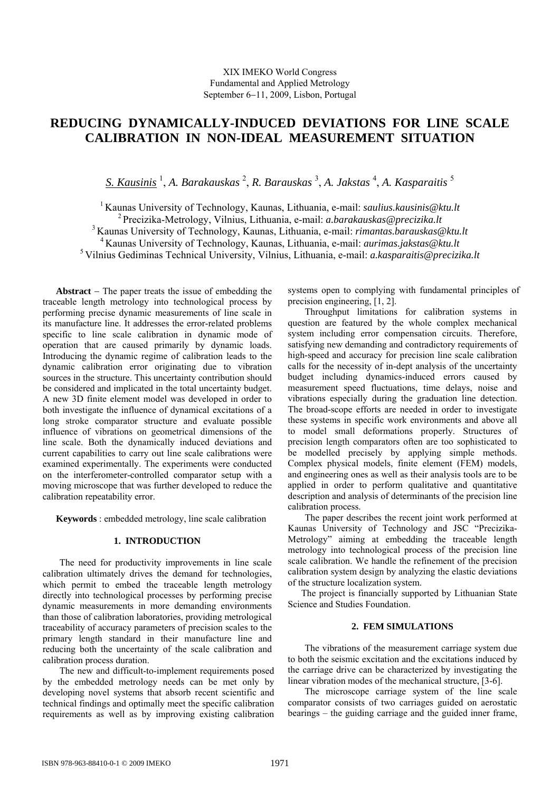# **REDUCING DYNAMICALLY-INDUCED DEVIATIONS FOR LINE SCALE CALIBRATION IN NON-IDEAL MEASUREMENT SITUATION**

*S. Kausinis* <sup>1</sup> , *A. Barakauskas* <sup>2</sup> , *R. Barauskas* <sup>3</sup> , *A. Jakstas* <sup>4</sup> , *A. Kasparaitis* <sup>5</sup>

1 Kaunas University of Technology, Kaunas, Lithuania, e-mail: *saulius.kausinis@ktu.lt* 2 Precizika-Metrology, Vilnius, Lithuania, e-mail: *a.barakauskas@precizika.lt* 3 Kaunas University of Technology, Kaunas, Lithuania, e-mail: *rimantas.barauskas@ktu.lt* 4 Kaunas University of Technology, Kaunas, Lithuania, e-mail: *aurimas.jakstas@ktu.lt* 5 Vilnius Gediminas Technical University, Vilnius, Lithuania, e-mail: *a.kasparaitis@precizika.lt* 

**Abstract** − The paper treats the issue of embedding the traceable length metrology into technological process by performing precise dynamic measurements of line scale in its manufacture line. It addresses the error-related problems specific to line scale calibration in dynamic mode of operation that are caused primarily by dynamic loads. Introducing the dynamic regime of calibration leads to the dynamic calibration error originating due to vibration sources in the structure. This uncertainty contribution should be considered and implicated in the total uncertainty budget. A new 3D finite element model was developed in order to both investigate the influence of dynamical excitations of a long stroke comparator structure and evaluate possible influence of vibrations on geometrical dimensions of the line scale. Both the dynamically induced deviations and current capabilities to carry out line scale calibrations were examined experimentally. The experiments were conducted on the interferometer-controlled comparator setup with a moving microscope that was further developed to reduce the calibration repeatability error.

**Keywords** : embedded metrology, line scale calibration

# **1. INTRODUCTION**

The need for productivity improvements in line scale calibration ultimately drives the demand for technologies, which permit to embed the traceable length metrology directly into technological processes by performing precise dynamic measurements in more demanding environments than those of calibration laboratories, providing metrological traceability of accuracy parameters of precision scales to the primary length standard in their manufacture line and reducing both the uncertainty of the scale calibration and calibration process duration.

The new and difficult-to-implement requirements posed by the embedded metrology needs can be met only by developing novel systems that absorb recent scientific and technical findings and optimally meet the specific calibration requirements as well as by improving existing calibration systems open to complying with fundamental principles of precision engineering, [1, 2].

Throughput limitations for calibration systems in question are featured by the whole complex mechanical system including error compensation circuits. Therefore, satisfying new demanding and contradictory requirements of high-speed and accuracy for precision line scale calibration calls for the necessity of in-dept analysis of the uncertainty budget including dynamics-induced errors caused by measurement speed fluctuations, time delays, noise and vibrations especially during the graduation line detection. The broad-scope efforts are needed in order to investigate these systems in specific work environments and above all to model small deformations properly. Structures of precision length comparators often are too sophisticated to be modelled precisely by applying simple methods. Complex physical models, finite element (FEM) models, and engineering ones as well as their analysis tools are to be applied in order to perform qualitative and quantitative description and analysis of determinants of the precision line calibration process.

The paper describes the recent joint work performed at Kaunas University of Technology and JSC "Precizika-Metrology" aiming at embedding the traceable length metrology into technological process of the precision line scale calibration. We handle the refinement of the precision calibration system design by analyzing the elastic deviations of the structure localization system.

The project is financially supported by Lithuanian State Science and Studies Foundation.

## **2. FEM SIMULATIONS**

The vibrations of the measurement carriage system due to both the seismic excitation and the excitations induced by the carriage drive can be characterized by investigating the linear vibration modes of the mechanical structure, [3-6].

The microscope carriage system of the line scale comparator consists of two carriages guided on aerostatic bearings – the guiding carriage and the guided inner frame,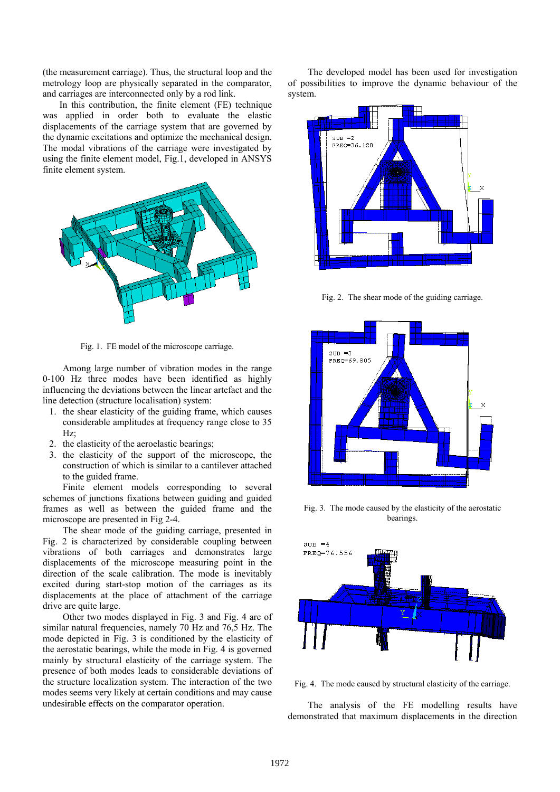(the measurement carriage). Thus, the structural loop and the metrology loop are physically separated in the comparator, and carriages are interconnected only by a rod link.

In this contribution, the finite element (FE) technique was applied in order both to evaluate the elastic displacements of the carriage system that are governed by the dynamic excitations and optimize the mechanical design. The modal vibrations of the carriage were investigated by using the finite element model, Fig.1, developed in ANSYS finite element system.



Fig. 1. FE model of the microscope carriage.

Among large number of vibration modes in the range 0-100 Hz three modes have been identified as highly influencing the deviations between the linear artefact and the line detection (structure localisation) system:

- 1. the shear elasticity of the guiding frame, which causes considerable amplitudes at frequency range close to 35 Hz;
- 2. the elasticity of the aeroelastic bearings;
- 3. the elasticity of the support of the microscope, the construction of which is similar to a cantilever attached to the guided frame.

Finite element models corresponding to several schemes of junctions fixations between guiding and guided frames as well as between the guided frame and the microscope are presented in Fig 2-4.

The shear mode of the guiding carriage, presented in Fig. 2 is characterized by considerable coupling between vibrations of both carriages and demonstrates large displacements of the microscope measuring point in the direction of the scale calibration. The mode is inevitably excited during start-stop motion of the carriages as its displacements at the place of attachment of the carriage drive are quite large.

Other two modes displayed in Fig. 3 and Fig. 4 are of similar natural frequencies, namely 70 Hz and 76,5 Hz. The mode depicted in Fig. 3 is conditioned by the elasticity of the aerostatic bearings, while the mode in Fig. 4 is governed mainly by structural elasticity of the carriage system. The presence of both modes leads to considerable deviations of the structure localization system. The interaction of the two modes seems very likely at certain conditions and may cause undesirable effects on the comparator operation.

The developed model has been used for investigation of possibilities to improve the dynamic behaviour of the system.



Fig. 2. The shear mode of the guiding carriage.



Fig. 3. The mode caused by the elasticity of the aerostatic bearings.



Fig. 4. The mode caused by structural elasticity of the carriage.

The analysis of the FE modelling results have demonstrated that maximum displacements in the direction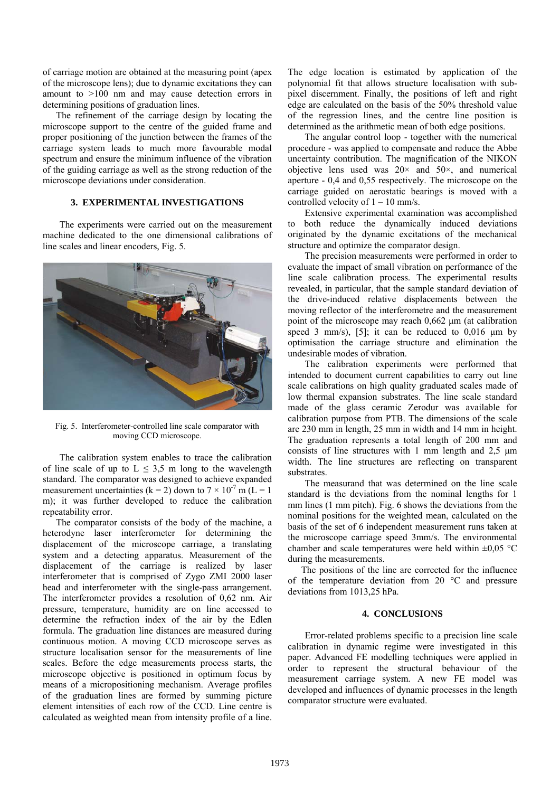of carriage motion are obtained at the measuring point (apex of the microscope lens); due to dynamic excitations they can amount to >100 nm and may cause detection errors in determining positions of graduation lines.

The refinement of the carriage design by locating the microscope support to the centre of the guided frame and proper positioning of the junction between the frames of the carriage system leads to much more favourable modal spectrum and ensure the minimum influence of the vibration of the guiding carriage as well as the strong reduction of the microscope deviations under consideration.

#### **3. EXPERIMENTAL INVESTIGATIONS**

The experiments were carried out on the measurement machine dedicated to the one dimensional calibrations of line scales and linear encoders, Fig. 5.



Fig. 5. Interferometer-controlled line scale comparator with moving CCD microscope.

The calibration system enables to trace the calibration of line scale of up to  $L \leq 3.5$  m long to the wavelength standard. The comparator was designed to achieve expanded measurement uncertainties (k = 2) down to  $7 \times 10^{-7}$  m (L = 1) m); it was further developed to reduce the calibration repeatability error.

The comparator consists of the body of the machine, a heterodyne laser interferometer for determining the displacement of the microscope carriage, a translating system and a detecting apparatus. Measurement of the displacement of the carriage is realized by laser interferometer that is comprised of Zygo ZMI 2000 laser head and interferometer with the single-pass arrangement. The interferometer provides a resolution of 0,62 nm. Air pressure, temperature, humidity are on line accessed to determine the refraction index of the air by the Edlen formula. The graduation line distances are measured during continuous motion. A moving CCD microscope serves as structure localisation sensor for the measurements of line scales. Before the edge measurements process starts, the microscope objective is positioned in optimum focus by means of a micropositioning mechanism. Average profiles of the graduation lines are formed by summing picture element intensities of each row of the CCD. Line centre is calculated as weighted mean from intensity profile of a line.

The edge location is estimated by application of the polynomial fit that allows structure localisation with subpixel discernment. Finally, the positions of left and right edge are calculated on the basis of the 50% threshold value of the regression lines, and the centre line position is determined as the arithmetic mean of both edge positions.

The angular control loop - together with the numerical procedure - was applied to compensate and reduce the Abbe uncertainty contribution. The magnification of the NIKON objective lens used was  $20 \times$  and  $50 \times$ , and numerical aperture - 0,4 and 0,55 respectively. The microscope on the carriage guided on aerostatic bearings is moved with a controlled velocity of  $1 - 10$  mm/s.

Extensive experimental examination was accomplished to both reduce the dynamically induced deviations originated by the dynamic excitations of the mechanical structure and optimize the comparator design.

The precision measurements were performed in order to evaluate the impact of small vibration on performance of the line scale calibration process. The experimental results revealed, in particular, that the sample standard deviation of the drive-induced relative displacements between the moving reflector of the interferometre and the measurement point of the microscope may reach 0,662 μm (at calibration speed 3 mm/s), [5]; it can be reduced to  $0.016$  µm by optimisation the carriage structure and elimination the undesirable modes of vibration.

The calibration experiments were performed that intended to document current capabilities to carry out line scale calibrations on high quality graduated scales made of low thermal expansion substrates. The line scale standard made of the glass ceramic Zerodur was available for calibration purpose from PTB. The dimensions of the scale are 230 mm in length, 25 mm in width and 14 mm in height. The graduation represents a total length of 200 mm and consists of line structures with 1 mm length and 2,5 μm width. The line structures are reflecting on transparent substrates.

The measurand that was determined on the line scale standard is the deviations from the nominal lengths for 1 mm lines (1 mm pitch). Fig. 6 shows the deviations from the nominal positions for the weighted mean, calculated on the basis of the set of 6 independent measurement runs taken at the microscope carriage speed 3mm/s. The environmental chamber and scale temperatures were held within  $\pm 0.05$  °C during the measurements.

The positions of the line are corrected for the influence of the temperature deviation from 20 °C and pressure deviations from 1013,25 hPa.

#### **4. CONCLUSIONS**

Error-related problems specific to a precision line scale calibration in dynamic regime were investigated in this paper. Advanced FE modelling techniques were applied in order to represent the structural behaviour of the measurement carriage system. A new FE model was developed and influences of dynamic processes in the length comparator structure were evaluated.